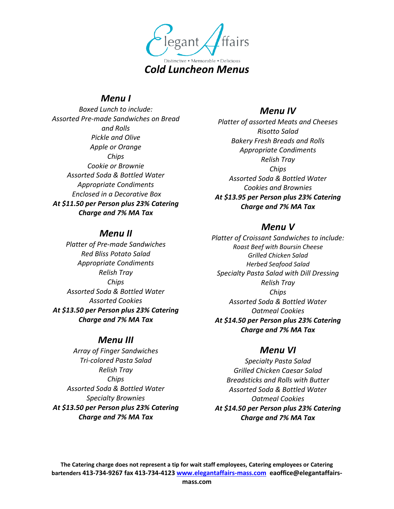

### *Menu I*

*Boxed Lunch to include: Assorted Pre-made Sandwiches on Bread and Rolls Pickle and Olive Apple or Orange Chips Cookie or Brownie Assorted Soda & Bottled Water Appropriate Condiments Enclosed in a Decorative Box At \$11.50 per Person plus 23% Catering Charge and 7% MA Tax*

#### *Menu II*

*Platter of Pre-made Sandwiches Red Bliss Potato Salad Appropriate Condiments Relish Tray Chips Assorted Soda & Bottled Water Assorted Cookies At \$13.50 per Person plus 23% Catering Charge and 7% MA Tax*

#### *Menu III*

*Array of Finger Sandwiches Tri-colored Pasta Salad Relish Tray Chips Assorted Soda & Bottled Water Specialty Brownies At \$13.50 per Person plus 23% Catering Charge and 7% MA Tax*

## *Menu IV*

*Platter of assorted Meats and Cheeses Risotto Salad Bakery Fresh Breads and Rolls Appropriate Condiments Relish Tray Chips Assorted Soda & Bottled Water Cookies and Brownies At \$13.95 per Person plus 23% Catering Charge and 7% MA Tax* 

# *Menu V*

*Platter of Croissant Sandwiches to include: Roast Beef with Boursin Cheese Grilled Chicken Salad Herbed Seafood Salad Specialty Pasta Salad with Dill Dressing Relish Tray Chips Assorted Soda & Bottled Water Oatmeal Cookies At \$14.50 per Person plus 23% Catering Charge and 7% MA Tax* 

# *Menu VI*

*Specialty Pasta Salad Grilled Chicken Caesar Salad Breadsticks and Rolls with Butter Assorted Soda & Bottled Water Oatmeal Cookies At \$14.50 per Person plus 23% Catering Charge and 7% MA Tax* 

**The Catering charge does not represent a tip for wait staff employees, Catering employees or Catering bartenders 413-734-9267 fax 413-734-4123 www.elegantaffairs-mass.com eaoffice@elegantaffairs-**